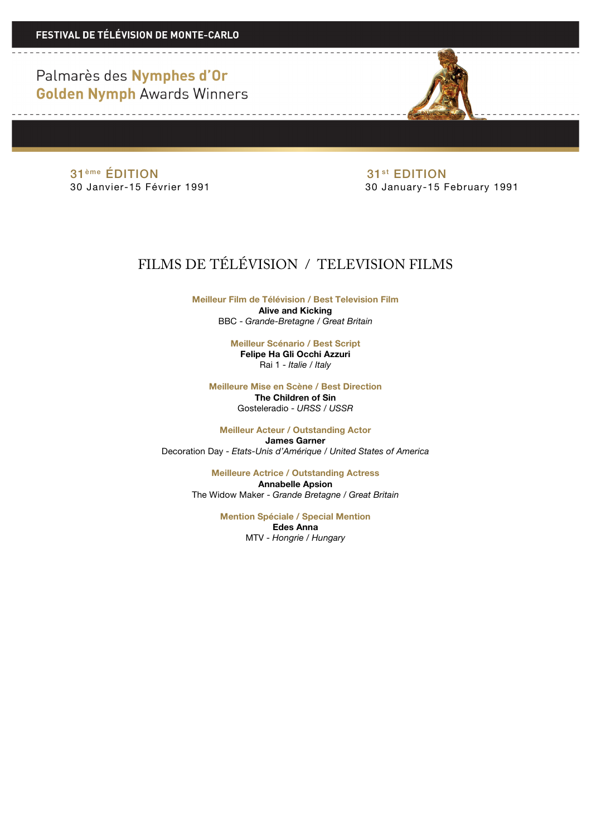Palmarès des Nymphes d'Or **Golden Nymph Awards Winners** 

<u> De la componenta de la componenta de la componenta de la componenta de la componenta de la componenta de la c</u>

<u> De la Carlo de la Carlo de la Ca</u>

31<sup>ème</sup> ÉDITION<br>30 Janvier-15 Février 1991 **1898 - Paul Contract de la Gaudie**r de la Sulanuary-15 F

30 January-15 February 1991

## FILMS DE TÉLÉVISION / TELEVISION FILMS

**Meilleur Film de Télévision / Best Television Film Alive and Kicking** BBC - *Grande-Bretagne / Great Britain*

> **Meilleur Scénario / Best Script Felipe Ha Gli Occhi Azzuri** Rai 1 - *Italie / Italy*

**Meilleure Mise en Scène / Best Direction**

**The Children of Sin** Gosteleradio - *URSS / USSR*

**Meilleur Acteur / Outstanding Actor James Garner** Decoration Day - *Etats-Unis d'Amérique / United States of America*

> **Meilleure Actrice / Outstanding Actress Annabelle Apsion** The Widow Maker - *Grande Bretagne / Great Britain*

> > **Mention Spéciale / Special Mention Edes Anna** MTV - *Hongrie / Hungary*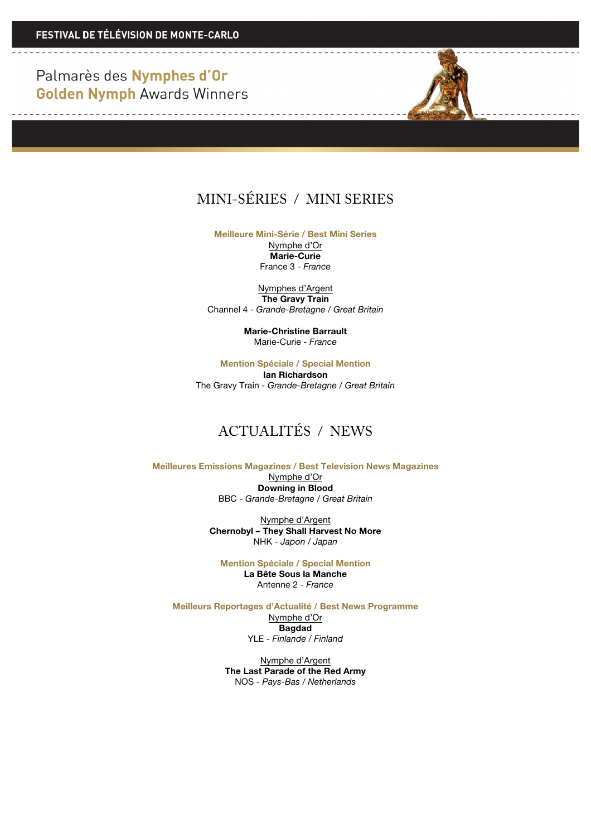Palmarès des Nymphes d'Or **Golden Nymph Awards Winners** 

 $\sim$   $-$ 

<u> 1989 - Louis Antonio Alemania e por esta</u>

## MINI-SÉRIES / MINI SERIES

**Meilleure Mini-Série / Best Mini Series**

Nymphe d'Or **Marie-Curie** France 3 - *France*

Nymphes d'Argent **The Gravy Train** Channel 4 - *Grande-Bretagne / Great Britain*

> **Marie-Christine Barrault** Marie-Curie - *France*

**Mention Spéciale / Special Mention Ian Richardson**

The Gravy Train *- Grande-Bretagne / Great Britain*

## ACTUALITÉS / NEWS

**Meilleures Emissions Magazines / Best Television News Magazines**  Nymphe d'Or **Downing in Blood** BBC - *Grande-Bretagne / Great Britain*

> Nymphe d'Argent **Chernobyl – They Shall Harvest No More** NHK - *Japon / Japan*

**Mention Spéciale / Special Mention La Bête Sous la Manche** Antenne 2 *- France*

**Meilleurs Reportages d'Actualité / Best News Programme** Nymphe d'Or **Bagdad**

YLE - *Finlande / Finland*

Nymphe d'Argent **The Last Parade of the Red Army** NOS - *Pays-Bas / Netherlands*